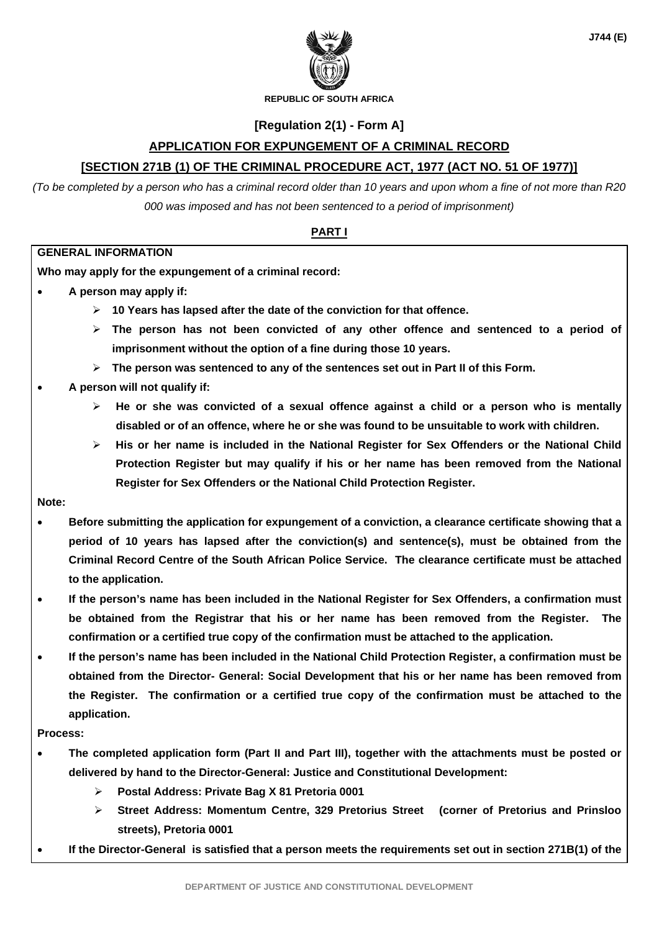

**REPUBLIC OF SOUTH AFRICA** 

### **[Regulation 2(1) - Form A]**

### **APPLICATION FOR EXPUNGEMENT OF A CRIMINAL RECORD**

### **[SECTION 271B (1) OF THE CRIMINAL PROCEDURE ACT, 1977 (ACT NO. 51 OF 1977)]**

*(To be completed by a person who has a criminal record older than 10 years and upon whom a fine of not more than R20 000 was imposed and has not been sentenced to a period of imprisonment)*

#### **PART I**

#### **GENERAL INFORMATION**

**Who may apply for the expungement of a criminal record:** 

- **A person may apply if:** 
	- **10 Years has lapsed after the date of the conviction for that offence.**
	- **The person has not been convicted of any other offence and sentenced to a period of imprisonment without the option of a fine during those 10 years.**
	- **The person was sentenced to any of the sentences set out in Part II of this Form.**

#### **A person will not qualify if:**

- **He or she was convicted of a sexual offence against a child or a person who is mentally disabled or of an offence, where he or she was found to be unsuitable to work with children.**
- **His or her name is included in the National Register for Sex Offenders or the National Child Protection Register but may qualify if his or her name has been removed from the National Register for Sex Offenders or the National Child Protection Register.**

#### **Note:**

- **Before submitting the application for expungement of a conviction, a clearance certificate showing that a period of 10 years has lapsed after the conviction(s) and sentence(s), must be obtained from the Criminal Record Centre of the South African Police Service. The clearance certificate must be attached to the application.**
- **If the person's name has been included in the National Register for Sex Offenders, a confirmation must be obtained from the Registrar that his or her name has been removed from the Register. The confirmation or a certified true copy of the confirmation must be attached to the application.**
- **If the person's name has been included in the National Child Protection Register, a confirmation must be obtained from the Director- General: Social Development that his or her name has been removed from the Register. The confirmation or a certified true copy of the confirmation must be attached to the application.**

#### **Process:**

- **The completed application form (Part II and Part III), together with the attachments must be posted or delivered by hand to the Director-General: Justice and Constitutional Development:** 
	- **Postal Address: Private Bag X 81 Pretoria 0001**
	- **Street Address: Momentum Centre, 329 Pretorius Street (corner of Pretorius and Prinsloo streets), Pretoria 0001**
- **If the Director-General is satisfied that a person meets the requirements set out in section 271B(1) of the**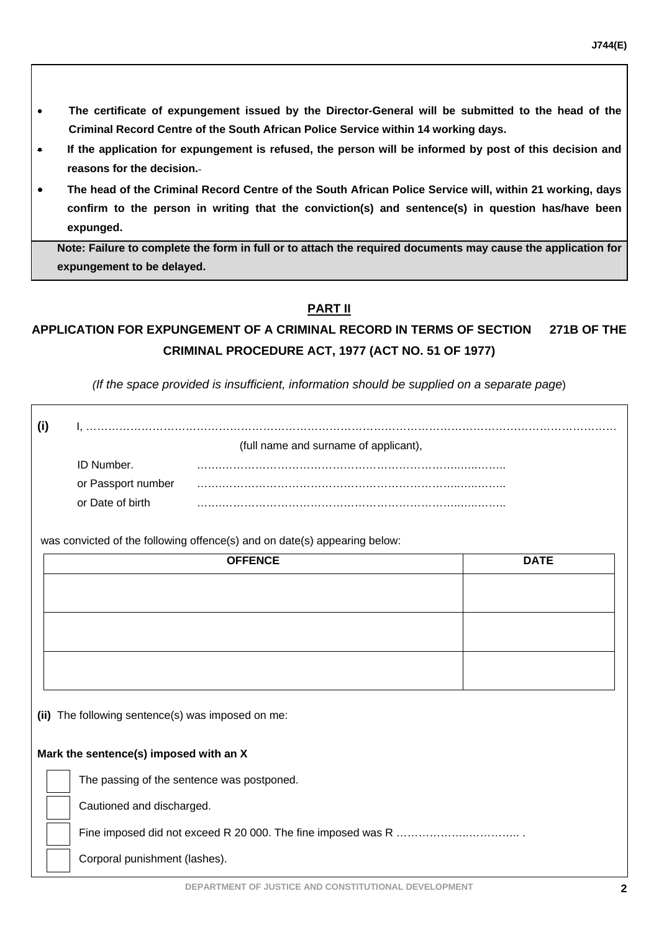- **The certificate of expungement issued by the Director-General will be submitted to the head of the Criminal Record Centre of the South African Police Service within 14 working days.**
- **If the application for expungement is refused, the person will be informed by post of this decision and reasons for the decision.**
- **The head of the Criminal Record Centre of the South African Police Service will, within 21 working, days confirm to the person in writing that the conviction(s) and sentence(s) in question has/have been expunged.**

**Note: Failure to complete the form in full or to attach the required documents may cause the application for expungement to be delayed.** 

# **PART II**

# **APPLICATION FOR EXPUNGEMENT OF A CRIMINAL RECORD IN TERMS OF SECTION 271B OF THE CRIMINAL PROCEDURE ACT, 1977 (ACT NO. 51 OF 1977)**

*(If the space provided is insufficient, information should be supplied on a separate page*)

|                                                                           | (full name and surname of applicant), |                |      |  |  |  |
|---------------------------------------------------------------------------|---------------------------------------|----------------|------|--|--|--|
|                                                                           | ID Number.                            |                |      |  |  |  |
|                                                                           | or Passport number                    |                |      |  |  |  |
|                                                                           | or Date of birth                      |                |      |  |  |  |
| was convicted of the following offence(s) and on date(s) appearing below: |                                       |                |      |  |  |  |
|                                                                           |                                       | <b>OFFENCE</b> | DATF |  |  |  |

| $\sqrt{11}$ $\sqrt{11}$ | $5 - 1$ |
|-------------------------|---------|
|                         |         |
|                         |         |
|                         |         |
|                         |         |
|                         |         |
|                         |         |
|                         |         |
|                         |         |
|                         |         |
|                         |         |

**(ii)** The following sentence(s) was imposed on me:

### **Mark the sentence(s) imposed with an X**

The passing of the sentence was postponed.

Cautioned and discharged.

Fine imposed did not exceed R 20 000. The fine imposed was R ……………………………………………………

Corporal punishment (lashes).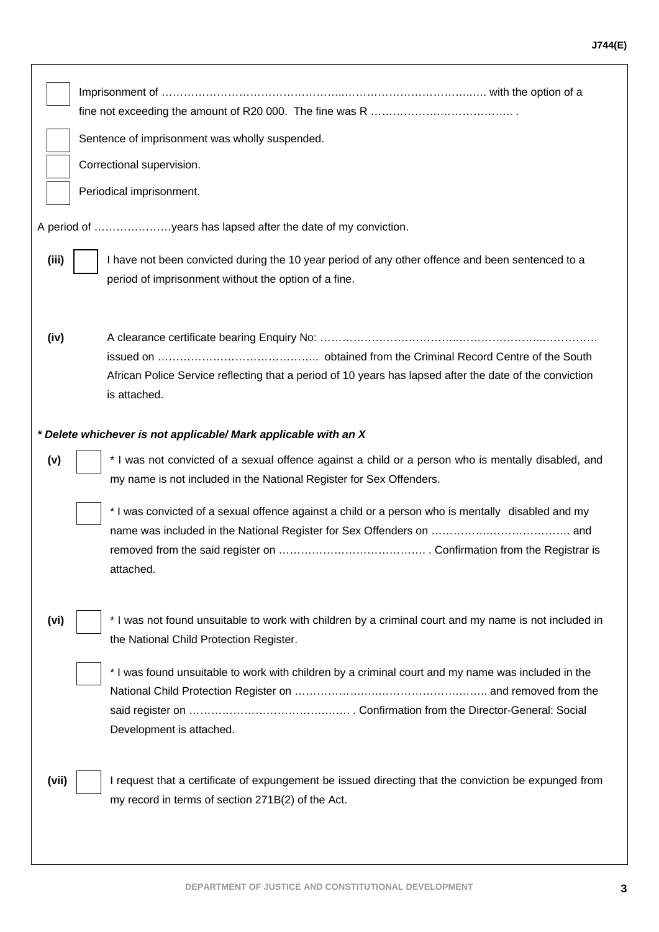|       | Sentence of imprisonment was wholly suspended.                                                          |  |  |  |  |
|-------|---------------------------------------------------------------------------------------------------------|--|--|--|--|
|       | Correctional supervision.                                                                               |  |  |  |  |
|       | Periodical imprisonment.                                                                                |  |  |  |  |
|       |                                                                                                         |  |  |  |  |
|       | A period of years has lapsed after the date of my conviction.                                           |  |  |  |  |
| (iii) | I have not been convicted during the 10 year period of any other offence and been sentenced to a        |  |  |  |  |
|       | period of imprisonment without the option of a fine.                                                    |  |  |  |  |
|       |                                                                                                         |  |  |  |  |
|       |                                                                                                         |  |  |  |  |
| (iv)  |                                                                                                         |  |  |  |  |
|       | African Police Service reflecting that a period of 10 years has lapsed after the date of the conviction |  |  |  |  |
|       | is attached.                                                                                            |  |  |  |  |
|       |                                                                                                         |  |  |  |  |
|       | * Delete whichever is not applicable/ Mark applicable with an X                                         |  |  |  |  |
| (v)   | * I was not convicted of a sexual offence against a child or a person who is mentally disabled, and     |  |  |  |  |
|       | my name is not included in the National Register for Sex Offenders.                                     |  |  |  |  |
|       | * I was convicted of a sexual offence against a child or a person who is mentally disabled and my       |  |  |  |  |
|       |                                                                                                         |  |  |  |  |
|       |                                                                                                         |  |  |  |  |
|       | attached.                                                                                               |  |  |  |  |
|       |                                                                                                         |  |  |  |  |
| (vi)  | * I was not found unsuitable to work with children by a criminal court and my name is not included in   |  |  |  |  |
|       | the National Child Protection Register.                                                                 |  |  |  |  |
|       | * I was found unsuitable to work with children by a criminal court and my name was included in the      |  |  |  |  |
|       |                                                                                                         |  |  |  |  |
|       |                                                                                                         |  |  |  |  |
|       | Development is attached.                                                                                |  |  |  |  |
|       |                                                                                                         |  |  |  |  |
| (vii) | I request that a certificate of expungement be issued directing that the conviction be expunged from    |  |  |  |  |
|       | my record in terms of section 271B(2) of the Act.                                                       |  |  |  |  |
|       |                                                                                                         |  |  |  |  |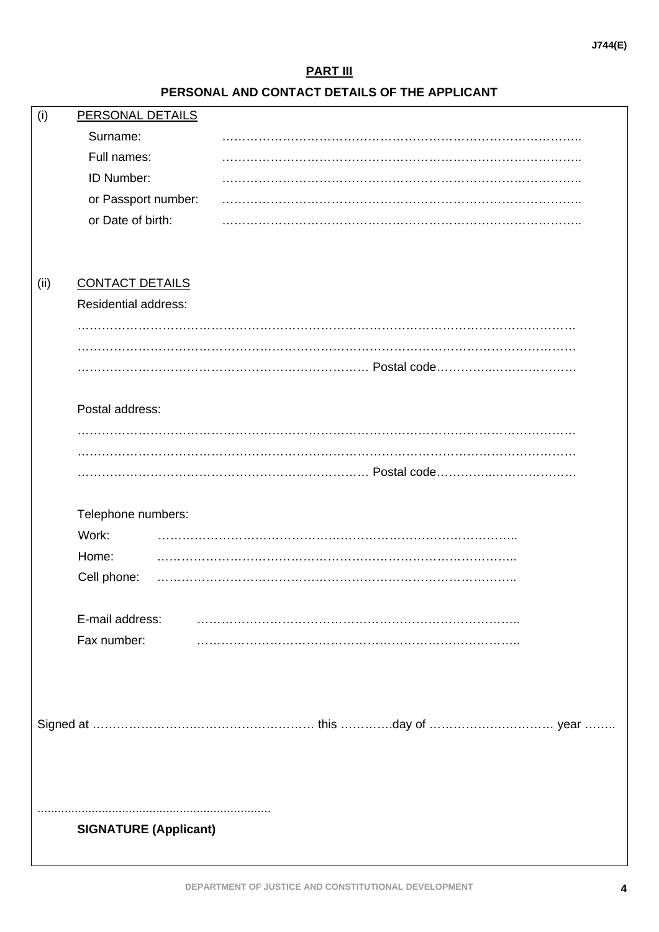# **PART III**

# **PERSONAL AND CONTACT DETAILS OF THE APPLICANT**

| (i)  | PERSONAL DETAILS             |  |
|------|------------------------------|--|
|      | Surname:                     |  |
|      | Full names:                  |  |
|      | ID Number:                   |  |
|      | or Passport number:          |  |
|      | or Date of birth:            |  |
|      |                              |  |
|      |                              |  |
| (ii) | <b>CONTACT DETAILS</b>       |  |
|      | <b>Residential address:</b>  |  |
|      |                              |  |
|      |                              |  |
|      |                              |  |
|      |                              |  |
|      | Postal address:              |  |
|      |                              |  |
|      |                              |  |
|      |                              |  |
|      |                              |  |
|      | Telephone numbers:           |  |
|      | Work:                        |  |
|      | Home:                        |  |
|      | Cell phone:                  |  |
|      |                              |  |
|      | E-mail address:              |  |
|      | Fax number:                  |  |
|      |                              |  |
|      |                              |  |
|      |                              |  |
|      |                              |  |
|      |                              |  |
|      |                              |  |
|      |                              |  |
|      |                              |  |
|      | <b>SIGNATURE (Applicant)</b> |  |
|      |                              |  |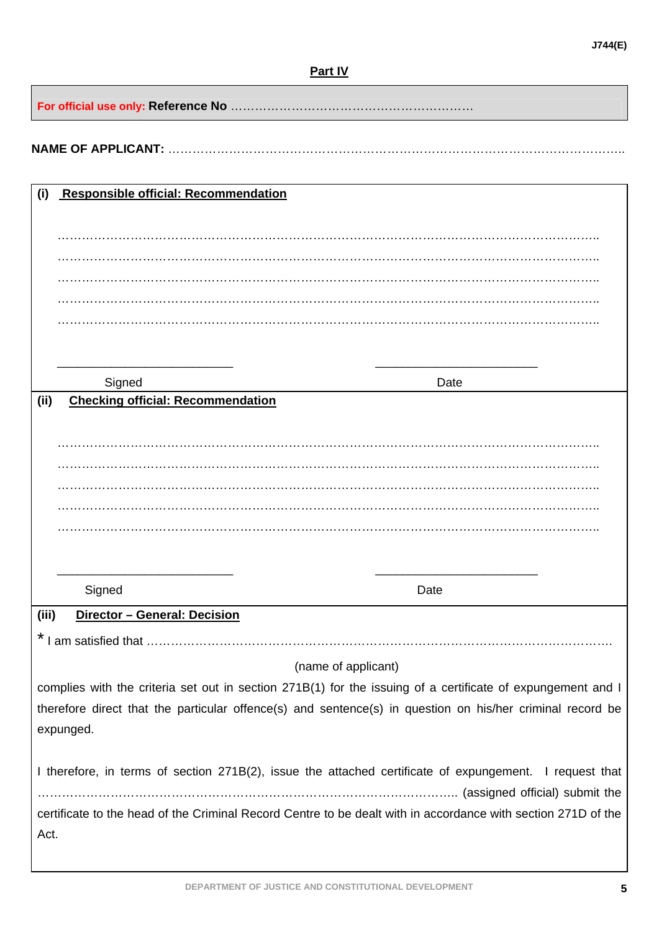**For official use only: Reference No** ……………………………………………………

# **NAME OF APPLICANT:** …………………………………………………………………………………………………..

| (i)   | <b>Responsible official: Recommendation</b> |                                                                                                               |
|-------|---------------------------------------------|---------------------------------------------------------------------------------------------------------------|
|       |                                             |                                                                                                               |
|       |                                             |                                                                                                               |
|       |                                             |                                                                                                               |
|       |                                             |                                                                                                               |
|       |                                             |                                                                                                               |
|       |                                             |                                                                                                               |
|       |                                             |                                                                                                               |
|       |                                             |                                                                                                               |
|       | Signed                                      | Date                                                                                                          |
| (i)   | <b>Checking official: Recommendation</b>    |                                                                                                               |
|       |                                             |                                                                                                               |
|       |                                             |                                                                                                               |
|       |                                             |                                                                                                               |
|       |                                             |                                                                                                               |
|       |                                             |                                                                                                               |
|       |                                             |                                                                                                               |
|       |                                             |                                                                                                               |
|       |                                             |                                                                                                               |
|       | Signed                                      | Date                                                                                                          |
|       |                                             |                                                                                                               |
| (iii) | Director - General: Decision                |                                                                                                               |
|       | I am satisfied that                         |                                                                                                               |
|       |                                             | (name of applicant)                                                                                           |
|       |                                             | complies with the criteria set out in section 271B(1) for the issuing of a certificate of expungement and I   |
|       |                                             | therefore direct that the particular offence(s) and sentence(s) in question on his/her criminal record be     |
|       | expunged.                                   |                                                                                                               |
|       |                                             |                                                                                                               |
|       |                                             | I therefore, in terms of section 271B(2), issue the attached certificate of expungement. I request that       |
|       |                                             |                                                                                                               |
|       |                                             |                                                                                                               |
|       |                                             | certificate to the head of the Criminal Record Centre to be dealt with in accordance with section 271D of the |
| Act.  |                                             |                                                                                                               |
|       |                                             |                                                                                                               |